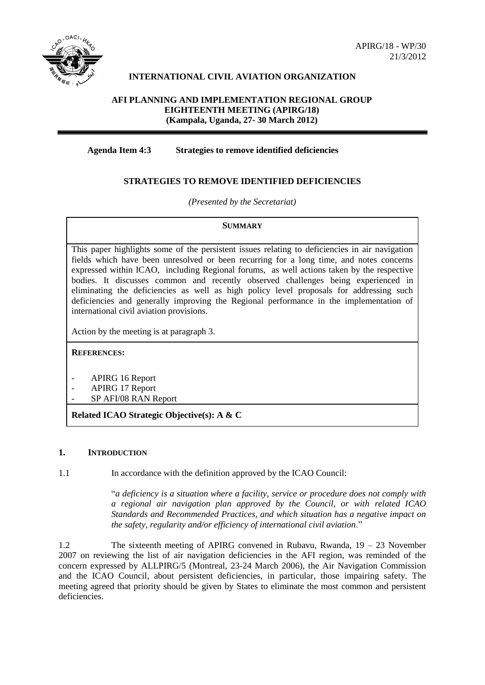

## **INTERNATIONAL CIVIL AVIATION ORGANIZATION**

#### **AFI PLANNING AND IMPLEMENTATION REGIONAL GROUP EIGHTEENTH MEETING (APIRG/18) (Kampala, Uganda, 27- 30 March 2012)**

## **Agenda Item 4:3 Strategies to remove identified deficiencies**

## **STRATEGIES TO REMOVE IDENTIFIED DEFICIENCIES**

*(Presented by the Secretariat)*

#### **SUMMARY**

This paper highlights some of the persistent issues relating to deficiencies in air navigation fields which have been unresolved or been recurring for a long time, and notes concerns expressed within ICAO, including Regional forums, as well actions taken by the respective bodies. It discusses common and recently observed challenges being experienced in eliminating the deficiencies as well as high policy level proposals for addressing such deficiencies and generally improving the Regional performance in the implementation of international civil aviation provisions.

Action by the meeting is at paragraph 3.

**REFERENCES:**

- APIRG 16 Report
- APIRG 17 Report
- SP AFI/08 RAN Report

**Related ICAO Strategic Objective(s): A & C**

#### **1. INTRODUCTION**

1.1 In accordance with the definition approved by the ICAO Council:

"*a deficiency is a situation where a facility, service or procedure does not comply with a regional air navigation plan approved by the Council, or with related ICAO Standards and Recommended Practices, and which situation has a negative impact on the safety, regularity and/or efficiency of international civil aviation*."

1.2 The sixteenth meeting of APIRG convened in Rubavu, Rwanda, 19 – 23 November 2007 on reviewing the list of air navigation deficiencies in the AFI region, was reminded of the concern expressed by ALLPIRG/5 (Montreal, 23-24 March 2006), the Air Navigation Commission and the ICAO Council, about persistent deficiencies, in particular, those impairing safety. The meeting agreed that priority should be given by States to eliminate the most common and persistent deficiencies.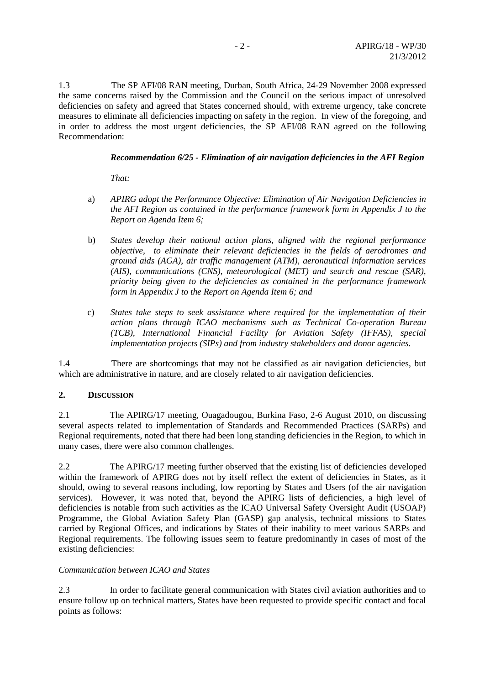1.3 The SP AFI/08 RAN meeting, Durban, South Africa, 24-29 November 2008 expressed the same concerns raised by the Commission and the Council on the serious impact of unresolved deficiencies on safety and agreed that States concerned should, with extreme urgency, take concrete measures to eliminate all deficiencies impacting on safety in the region. In view of the foregoing, and in order to address the most urgent deficiencies, the SP AFI/08 RAN agreed on the following Recommendation:

## *Recommendation 6/25 - Elimination of air navigation deficiencies in the AFI Region*

*That:*

- a) *APIRG adopt the Performance Objective: Elimination of Air Navigation Deficiencies in the AFI Region as contained in the performance framework form in Appendix J to the Report on Agenda Item 6;*
- b) *States develop their national action plans, aligned with the regional performance objective, to eliminate their relevant deficiencies in the fields of aerodromes and ground aids (AGA), air traffic management (ATM), aeronautical information services (AIS), communications (CNS), meteorological (MET) and search and rescue (SAR), priority being given to the deficiencies as contained in the performance framework form in Appendix J to the Report on Agenda Item 6; and*
- c) *States take steps to seek assistance where required for the implementation of their action plans through ICAO mechanisms such as Technical Co-operation Bureau (TCB), International Financial Facility for Aviation Safety (IFFAS), special implementation projects (SIPs) and from industry stakeholders and donor agencies.*

1.4 There are shortcomings that may not be classified as air navigation deficiencies, but which are administrative in nature, and are closely related to air navigation deficiencies.

#### **2. DISCUSSION**

2.1 The APIRG/17 meeting, Ouagadougou, Burkina Faso, 2-6 August 2010, on discussing several aspects related to implementation of Standards and Recommended Practices (SARPs) and Regional requirements, noted that there had been long standing deficiencies in the Region, to which in many cases, there were also common challenges.

2.2 The APIRG/17 meeting further observed that the existing list of deficiencies developed within the framework of APIRG does not by itself reflect the extent of deficiencies in States, as it should, owing to several reasons including, low reporting by States and Users (of the air navigation services). However, it was noted that, beyond the APIRG lists of deficiencies, a high level of deficiencies is notable from such activities as the ICAO Universal Safety Oversight Audit (USOAP) Programme, the Global Aviation Safety Plan (GASP) gap analysis, technical missions to States carried by Regional Offices, and indications by States of their inability to meet various SARPs and Regional requirements. The following issues seem to feature predominantly in cases of most of the existing deficiencies:

#### *Communication between ICAO and States*

2.3 In order to facilitate general communication with States civil aviation authorities and to ensure follow up on technical matters, States have been requested to provide specific contact and focal points as follows: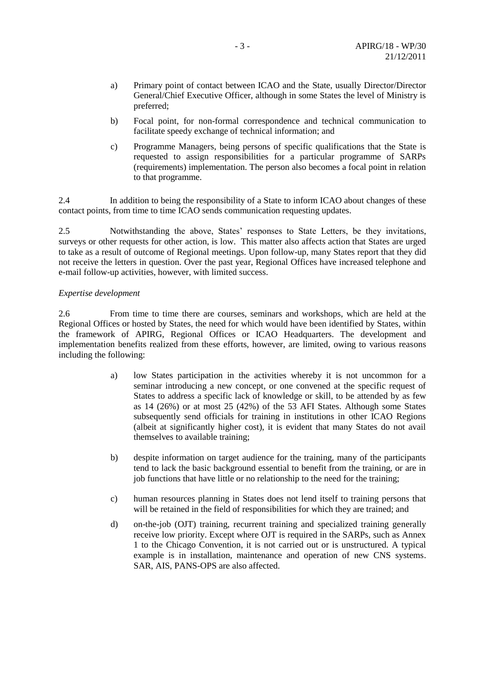- a) Primary point of contact between ICAO and the State, usually Director/Director General/Chief Executive Officer, although in some States the level of Ministry is preferred;
- b) Focal point, for non-formal correspondence and technical communication to facilitate speedy exchange of technical information; and
- c) Programme Managers, being persons of specific qualifications that the State is requested to assign responsibilities for a particular programme of SARPs (requirements) implementation. The person also becomes a focal point in relation to that programme.

2.4 In addition to being the responsibility of a State to inform ICAO about changes of these contact points, from time to time ICAO sends communication requesting updates.

2.5 Notwithstanding the above, States' responses to State Letters, be they invitations, surveys or other requests for other action, is low. This matter also affects action that States are urged to take as a result of outcome of Regional meetings. Upon follow-up, many States report that they did not receive the letters in question. Over the past year, Regional Offices have increased telephone and e-mail follow-up activities, however, with limited success.

#### *Expertise development*

2.6 From time to time there are courses, seminars and workshops, which are held at the Regional Offices or hosted by States, the need for which would have been identified by States, within the framework of APIRG, Regional Offices or ICAO Headquarters. The development and implementation benefits realized from these efforts, however, are limited, owing to various reasons including the following:

- a) low States participation in the activities whereby it is not uncommon for a seminar introducing a new concept, or one convened at the specific request of States to address a specific lack of knowledge or skill, to be attended by as few as 14 (26%) or at most 25 (42%) of the 53 AFI States. Although some States subsequently send officials for training in institutions in other ICAO Regions (albeit at significantly higher cost), it is evident that many States do not avail themselves to available training;
- b) despite information on target audience for the training, many of the participants tend to lack the basic background essential to benefit from the training, or are in job functions that have little or no relationship to the need for the training;
- c) human resources planning in States does not lend itself to training persons that will be retained in the field of responsibilities for which they are trained; and
- d) on-the-job (OJT) training, recurrent training and specialized training generally receive low priority. Except where OJT is required in the SARPs, such as Annex 1 to the Chicago Convention, it is not carried out or is unstructured. A typical example is in installation, maintenance and operation of new CNS systems. SAR, AIS, PANS-OPS are also affected.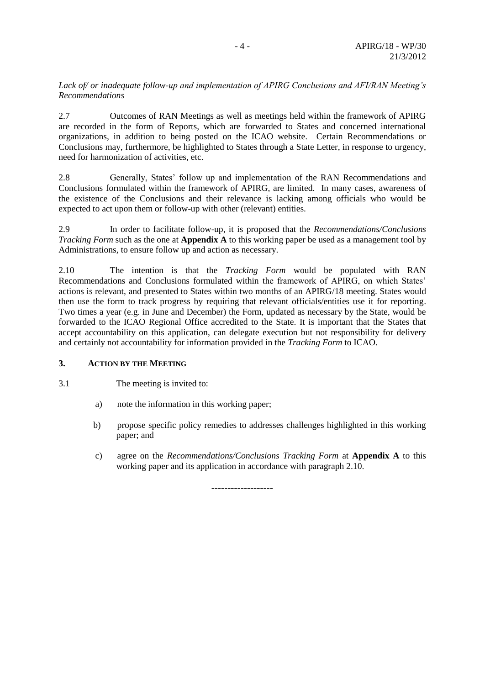#### *Lack of/ or inadequate follow-up and implementation of APIRG Conclusions and AFI/RAN Meeting's Recommendations*

2.7 Outcomes of RAN Meetings as well as meetings held within the framework of APIRG are recorded in the form of Reports, which are forwarded to States and concerned international organizations, in addition to being posted on the ICAO website. Certain Recommendations or Conclusions may, furthermore, be highlighted to States through a State Letter, in response to urgency, need for harmonization of activities, etc.

2.8 Generally, States' follow up and implementation of the RAN Recommendations and Conclusions formulated within the framework of APIRG, are limited. In many cases, awareness of the existence of the Conclusions and their relevance is lacking among officials who would be expected to act upon them or follow-up with other (relevant) entities.

2.9 In order to facilitate follow-up, it is proposed that the *Recommendations/Conclusions Tracking Form* such as the one at **Appendix A** to this working paper be used as a management tool by Administrations, to ensure follow up and action as necessary.

2.10 The intention is that the *Tracking Form* would be populated with RAN Recommendations and Conclusions formulated within the framework of APIRG, on which States' actions is relevant, and presented to States within two months of an APIRG/18 meeting. States would then use the form to track progress by requiring that relevant officials/entities use it for reporting. Two times a year (e.g. in June and December) the Form, updated as necessary by the State, would be forwarded to the ICAO Regional Office accredited to the State. It is important that the States that accept accountability on this application, can delegate execution but not responsibility for delivery and certainly not accountability for information provided in the *Tracking Form* to ICAO.

#### **3. ACTION BY THE MEETING**

3.1 The meeting is invited to:

- a) note the information in this working paper;
- b) propose specific policy remedies to addresses challenges highlighted in this working paper; and
- c) agree on the *Recommendations/Conclusions Tracking Form* at **Appendix A** to this working paper and its application in accordance with paragraph 2.10.